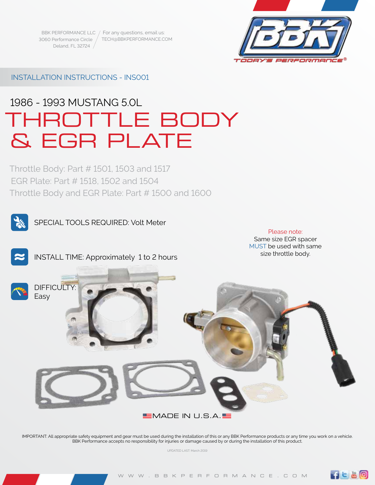BBK PERFORMANCE LLC / For any questions, email us: 3060 Performance Circle Deland, FL 32724 TECH@BBKPERFORMANCE.COM



# INSTALLATION INSTRUCTIONS - INS001

# 1986 - 1993 MUSTANG 5.0L THROTTLE BODY & EGR PLATE

Throttle Body: Part # 1501, 1503 and 1517 EGR Plate: Part # 1518, 1502 and 1504 Throttle Body and EGR Plate: Part # 1500 and 1600



SPECIAL TOOLS REQUIRED: Volt Meter

### Please note: Same size EGR spacer MUST be used with same

size throttle body.

 $f = B$ <sup>O</sup>



INSTALL TIME: Approximately 1 to 2 hours



IMPORTANT: All appropriate safety equipment and gear must be used during the installation of this or any BBK Performance products or any time you work on a vehicle. BBK Performance accepts no responsibility for injuries or damage caused by or during the installation of this product.

UPDATED LAST: March 2019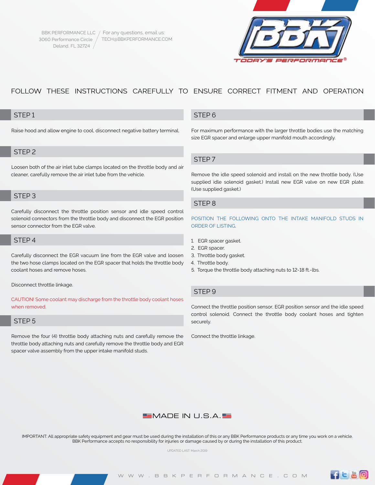

# FOLLOW THESE INSTRUCTIONS CAREFULLY TO ENSURE CORRECT FITMENT AND OPERATION

## STEP 1

Raise hood and allow engine to cool, disconnect negative battery terminal.

# STEP 2

Loosen both of the air inlet tube clamps located on the throttle body and air cleaner, carefully remove the air inlet tube from the vehicle.

### STEP 3

Carefully disconnect the throttle position sensor and idle speed control solenoid connectors from the throttle body and disconnect the EGR position sensor connector from the EGR valve.

# STEP 4

Carefully disconnect the EGR vacuum line from the EGR valve and loosen the two hose clamps located on the EGR spacer that holds the throttle body coolant hoses and remove hoses.

Disconnect throttle linkage.

CAUTION! Some coolant may discharge from the throttle body coolant hoses when removed.

### STEP<sub>5</sub>

Remove the four (4) throttle body attaching nuts and carefully remove the throttle body attaching nuts and carefully remove the throttle body and EGR spacer valve assembly from the upper intake manifold studs.

# STEP 6

For maximum performance with the larger throttle bodies use the matching size EGR spacer and enlarge upper manifold mouth accordingly.

### STEP 7

Remove the idle speed solenoid and install on the new throttle body. (Use supplied idle solenoid gasket.) Install new EGR valve on new EGR plate. (Use supplied gasket.)

# STEP 8

POSITION THE FOLLOWING ONTO THE INTAKE MANIFOLD STUDS IN ORDER OF LISTING.

- 1. EGR spacer gasket.
- 2. EGR spacer.
- 3. Throttle body gasket.
- 4. Throttle body.
- 5. Torque the throttle body attaching nuts to 12-18 ft.-lbs.

# STEP 9

Connect the throttle position sensor, EGR position sensor and the idle speed control solenoid. Connect the throttle body coolant hoses and tighten securely.

Connect the throttle linkage.



IMPORTANT: All appropriate safety equipment and gear must be used during the installation of this or any BBK Performance products or any time you work on a vehicle. BBK Performance accepts no responsibility for injuries or damage caused by or during the installation of this product.

UPDATED LAST: March 2019